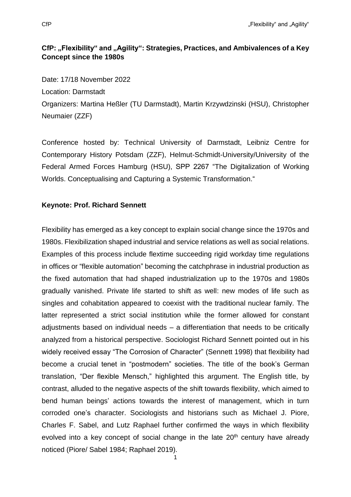# **CfP: "Flexibility" and "Agility": Strategies, Practices, and Ambivalences of a Key Concept since the 1980s**

Date: 17/18 November 2022 Location: Darmstadt Organizers: Martina Heßler (TU Darmstadt), Martin Krzywdzinski (HSU), Christopher Neumaier (ZZF)

Conference hosted by: Technical University of Darmstadt, Leibniz Centre for Contemporary History Potsdam (ZZF), Helmut-Schmidt-University/University of the Federal Armed Forces Hamburg (HSU), SPP 2267 "The Digitalization of Working Worlds. Conceptualising and Capturing a Systemic Transformation."

#### **Keynote: Prof. Richard Sennett**

Flexibility has emerged as a key concept to explain social change since the 1970s and 1980s. Flexibilization shaped industrial and service relations as well as social relations. Examples of this process include flextime succeeding rigid workday time regulations in offices or "flexible automation" becoming the catchphrase in industrial production as the fixed automation that had shaped industrialization up to the 1970s and 1980s gradually vanished. Private life started to shift as well: new modes of life such as singles and cohabitation appeared to coexist with the traditional nuclear family. The latter represented a strict social institution while the former allowed for constant adjustments based on individual needs – a differentiation that needs to be critically analyzed from a historical perspective. Sociologist Richard Sennett pointed out in his widely received essay "The Corrosion of Character" (Sennett 1998) that flexibility had become a crucial tenet in "postmodern" societies. The title of the book's German translation, "Der flexible Mensch," highlighted this argument. The English title, by contrast, alluded to the negative aspects of the shift towards flexibility, which aimed to bend human beings' actions towards the interest of management, which in turn corroded one's character. Sociologists and historians such as Michael J. Piore, Charles F. Sabel, and Lutz Raphael further confirmed the ways in which flexibility evolved into a key concept of social change in the late  $20<sup>th</sup>$  century have already noticed (Piore/ Sabel 1984; Raphael 2019).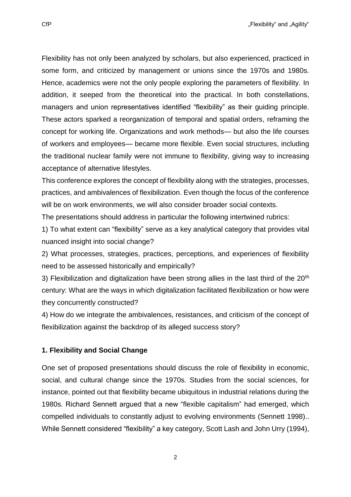CfP "The state of the state of the state of the state of the state of the state of the state of the state of the state of the state of the state of the state of the state of the state of the state of the state of the state

Flexibility has not only been analyzed by scholars, but also experienced, practiced in some form, and criticized by management or unions since the 1970s and 1980s. Hence, academics were not the only people exploring the parameters of flexibility. In addition, it seeped from the theoretical into the practical. In both constellations, managers and union representatives identified "flexibility" as their guiding principle. These actors sparked a reorganization of temporal and spatial orders, reframing the concept for working life. Organizations and work methods— but also the life courses of workers and employees— became more flexible. Even social structures, including the traditional nuclear family were not immune to flexibility, giving way to increasing acceptance of alternative lifestyles.

This conference explores the concept of flexibility along with the strategies, processes, practices, and ambivalences of flexibilization. Even though the focus of the conference will be on work environments, we will also consider broader social contexts.

The presentations should address in particular the following intertwined rubrics:

1) To what extent can "flexibility" serve as a key analytical category that provides vital nuanced insight into social change?

2) What processes, strategies, practices, perceptions, and experiences of flexibility need to be assessed historically and empirically?

3) Flexibilization and digitalization have been strong allies in the last third of the  $20<sup>th</sup>$ century: What are the ways in which digitalization facilitated flexibilization or how were they concurrently constructed?

4) How do we integrate the ambivalences, resistances, and criticism of the concept of flexibilization against the backdrop of its alleged success story?

## **1. Flexibility and Social Change**

One set of proposed presentations should discuss the role of flexibility in economic, social, and cultural change since the 1970s. Studies from the social sciences, for instance, pointed out that flexibility became ubiquitous in industrial relations during the 1980s. Richard Sennett argued that a new "flexible capitalism" had emerged, which compelled individuals to constantly adjust to evolving environments (Sennett 1998).. While Sennett considered "flexibility" a key category, Scott Lash and John Urry (1994),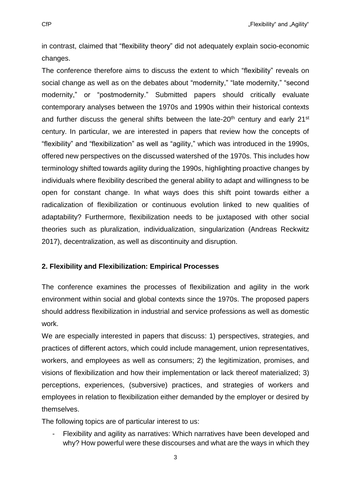in contrast, claimed that "flexibility theory" did not adequately explain socio-economic changes.

The conference therefore aims to discuss the extent to which "flexibility" reveals on social change as well as on the debates about "modernity," "late modernity," "second modernity," or "postmodernity." Submitted papers should critically evaluate contemporary analyses between the 1970s and 1990s within their historical contexts and further discuss the general shifts between the late-20<sup>th</sup> century and early  $21^{st}$ century. In particular, we are interested in papers that review how the concepts of "flexibility" and "flexibilization" as well as "agility," which was introduced in the 1990s, offered new perspectives on the discussed watershed of the 1970s. This includes how terminology shifted towards agility during the 1990s, highlighting proactive changes by individuals where flexibility described the general ability to adapt and willingness to be open for constant change. In what ways does this shift point towards either a radicalization of flexibilization or continuous evolution linked to new qualities of adaptability? Furthermore, flexibilization needs to be juxtaposed with other social theories such as pluralization, individualization, singularization (Andreas Reckwitz 2017), decentralization, as well as discontinuity and disruption.

## **2. Flexibility and Flexibilization: Empirical Processes**

The conference examines the processes of flexibilization and agility in the work environment within social and global contexts since the 1970s. The proposed papers should address flexibilization in industrial and service professions as well as domestic work.

We are especially interested in papers that discuss: 1) perspectives, strategies, and practices of different actors, which could include management, union representatives, workers, and employees as well as consumers; 2) the legitimization, promises, and visions of flexibilization and how their implementation or lack thereof materialized; 3) perceptions, experiences, (subversive) practices, and strategies of workers and employees in relation to flexibilization either demanded by the employer or desired by themselves.

The following topics are of particular interest to us:

- Flexibility and agility as narratives: Which narratives have been developed and why? How powerful were these discourses and what are the ways in which they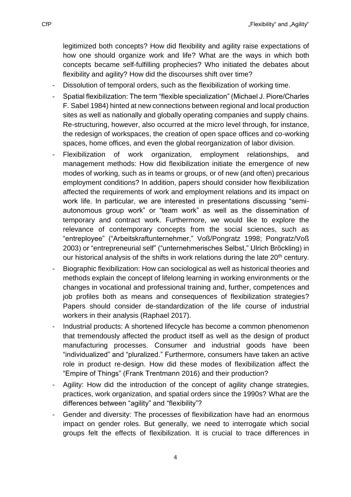legitimized both concepts? How did flexibility and agility raise expectations of how one should organize work and life? What are the ways in which both concepts became self-fulfilling prophecies? Who initiated the debates about flexibility and agility? How did the discourses shift over time?

- Dissolution of temporal orders, such as the flexibilization of working time.
- Spatial flexibilization: The term "flexible specialization" (Michael J. Piore/Charles F. Sabel 1984) hinted at new connections between regional and local production sites as well as nationally and globally operating companies and supply chains. Re-structuring, however, also occurred at the micro level through, for instance, the redesign of workspaces, the creation of open space offices and co-working spaces, home offices, and even the global reorganization of labor division.
- Flexibilization of work organization, employment relationships, and management methods: How did flexibilization initiate the emergence of new modes of working, such as in teams or groups, or of new (and often) precarious employment conditions? In addition, papers should consider how flexibilization affected the requirements of work and employment relations and its impact on work life. In particular, we are interested in presentations discussing "semiautonomous group work" or "team work" as well as the dissemination of temporary and contract work. Furthermore, we would like to explore the relevance of contemporary concepts from the social sciences, such as "entreployee" ("Arbeitskraftunternehmer," Voß/Pongratz 1998; Pongratz/Voß 2003) or "entrepreneurial self" ("unternehmerisches Selbst," Ulrich Bröckling) in our historical analysis of the shifts in work relations during the late 20<sup>th</sup> century.
- Biographic flexibilization: How can sociological as well as historical theories and methods explain the concept of lifelong learning in working environments or the changes in vocational and professional training and, further, competences and job profiles both as means and consequences of flexibilization strategies? Papers should consider de-standardization of the life course of industrial workers in their analysis (Raphael 2017).
- Industrial products: A shortened lifecycle has become a common phenomenon that tremendously affected the product itself as well as the design of product manufacturing processes. Consumer and industrial goods have been "individualized" and "pluralized." Furthermore, consumers have taken an active role in product re-design. How did these modes of flexibilization affect the "Empire of Things" (Frank Trentmann 2016) and their production?
- Agility: How did the introduction of the concept of agility change strategies, practices, work organization, and spatial orders since the 1990s? What are the differences between "agility" and "flexibility"?
- Gender and diversity: The processes of flexibilization have had an enormous impact on gender roles. But generally, we need to interrogate which social groups felt the effects of flexibilization. It is crucial to trace differences in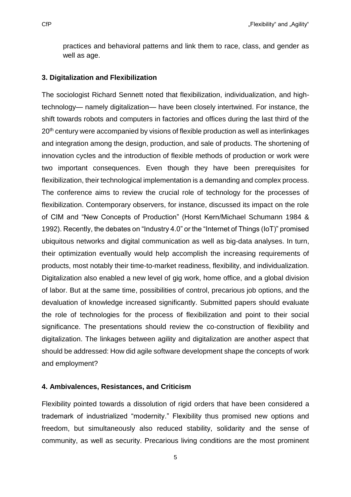practices and behavioral patterns and link them to race, class, and gender as well as age.

#### **3. Digitalization and Flexibilization**

The sociologist Richard Sennett noted that flexibilization, individualization, and hightechnology— namely digitalization— have been closely intertwined. For instance, the shift towards robots and computers in factories and offices during the last third of the 20<sup>th</sup> century were accompanied by visions of flexible production as well as interlinkages and integration among the design, production, and sale of products. The shortening of innovation cycles and the introduction of flexible methods of production or work were two important consequences. Even though they have been prerequisites for flexibilization, their technological implementation is a demanding and complex process. The conference aims to review the crucial role of technology for the processes of flexibilization. Contemporary observers, for instance, discussed its impact on the role of CIM and "New Concepts of Production" (Horst Kern/Michael Schumann 1984 & 1992). Recently, the debates on "Industry 4.0" or the "Internet of Things (IoT)" promised ubiquitous networks and digital communication as well as big-data analyses. In turn, their optimization eventually would help accomplish the increasing requirements of products, most notably their time-to-market readiness, flexibility, and individualization. Digitalization also enabled a new level of gig work, home office, and a global division of labor. But at the same time, possibilities of control, precarious job options, and the devaluation of knowledge increased significantly. Submitted papers should evaluate the role of technologies for the process of flexibilization and point to their social significance. The presentations should review the co-construction of flexibility and digitalization. The linkages between agility and digitalization are another aspect that should be addressed: How did agile software development shape the concepts of work and employment?

#### **4. Ambivalences, Resistances, and Criticism**

Flexibility pointed towards a dissolution of rigid orders that have been considered a trademark of industrialized "modernity." Flexibility thus promised new options and freedom, but simultaneously also reduced stability, solidarity and the sense of community, as well as security. Precarious living conditions are the most prominent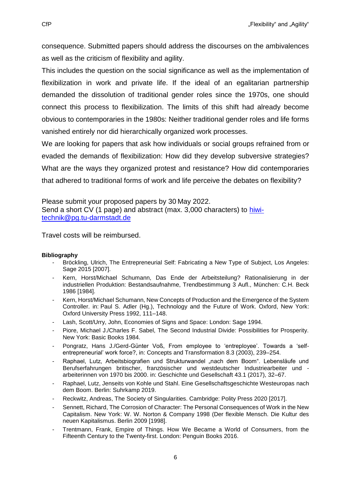consequence. Submitted papers should address the discourses on the ambivalences as well as the criticism of flexibility and agility.

This includes the question on the social significance as well as the implementation of flexibilization in work and private life. If the ideal of an egalitarian partnership demanded the dissolution of traditional gender roles since the 1970s, one should connect this process to flexibilization. The limits of this shift had already become obvious to contemporaries in the 1980s: Neither traditional gender roles and life forms vanished entirely nor did hierarchically organized work processes.

We are looking for papers that ask how individuals or social groups refrained from or evaded the demands of flexibilization: How did they develop subversive strategies? What are the ways they organized protest and resistance? How did contemporaries that adhered to traditional forms of work and life perceive the debates on flexibility?

Please submit your proposed papers by 30 May 2022. Send a short CV (1 page) and abstract (max. 3,000 characters) to [hiwi](mailto:hiwi-technik@pg.tu-darmstadt.de)[technik@pg.tu-darmstadt.de](mailto:hiwi-technik@pg.tu-darmstadt.de)

Travel costs will be reimbursed.

## **Bibliography**

- Bröckling, Ulrich, The Entrepreneurial Self: Fabricating a New Type of Subject, Los Angeles: Sage 2015 [2007].
- Kern, Horst/Michael Schumann, Das Ende der Arbeitsteilung? Rationalisierung in der industriellen Produktion: Bestandsaufnahme, Trendbestimmung 3 Aufl., München: C.H. Beck 1986 [1984].
- Kern, Horst/Michael Schumann, New Concepts of Production and the Emergence of the System Controller. in: Paul S. Adler (Hg.), Technology and the Future of Work. Oxford, New York: Oxford University Press 1992, 111–148.
- Lash, Scott/Urry, John, Economies of Signs and Space: London: Sage 1994.
- Piore, Michael J./Charles F. Sabel, The Second Industrial Divide: Possibilities for Prosperity. New York: Basic Books 1984.
- Pongratz, Hans J./Gerd-Günter Voß, From employee to 'entreployee'. Towards a 'selfentrepreneurial' work force?, in: Concepts and Transformation 8.3 (2003), 239–254.
- Raphael, Lutz, Arbeitsbiografien und Strukturwandel "nach dem Boom". Lebensläufe und Berufserfahrungen britischer, französischer und westdeutscher Industriearbeiter und arbeiterinnen von 1970 bis 2000. in: Geschichte und Gesellschaft 43.1 (2017), 32–67.
- Raphael, Lutz, Jenseits von Kohle und Stahl. Eine Gesellschaftsgeschichte Westeuropas nach dem Boom. Berlin: Suhrkamp 2019.
- Reckwitz, Andreas, The Society of Singularities. Cambridge: Polity Press 2020 [2017].
- Sennett, Richard, The Corrosion of Character: The Personal Consequences of Work in the New Capitalism. New York: W. W. Norton & Company 1998 (Der flexible Mensch. Die Kultur des neuen Kapitalismus. Berlin 2009 [1998].
- Trentmann, Frank, Empire of Things. How We Became a World of Consumers, from the Fifteenth Century to the Twenty-first. London: Penguin Books 2016.